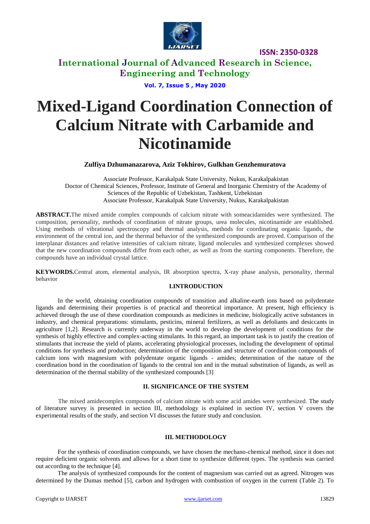

**International Journal of Advanced Research in Science, Engineering and Technology**

**Vol. 7, Issue 5 , May 2020**

# **Mixed-Ligand Coordination Connection of Calcium Nitrate with Carbamide and Nicotinamide**

**Zulfiya Dzhumanazarova, Aziz Tokhirov, Gulkhan Genzhemuratova**

Associate Professor, Karakalpak State University, Nukus, Karakalpakistan Doctor of Chemical Sciences, Professor, Institute of General and Inorganic Chemistry of the Academy of Sciences of the Republic of Uzbekistan, Tashkent, Uzbekistan Associate Professor, Karakalpak State University, Nukus, Karakalpakistan

**ABSTRACT.**The mixed amide complex compounds of calcium nitrate with someacidamides were synthesized. The composition, personality, methods of coordination of nitrate groups, urea molecules, nicotinamide are established. Using methods of vibrational spectroscopy and thermal analysis, methods for coordinating organic ligands, the environment of the central ion, and the thermal behavior of the synthesized compounds are proved. Comparison of the interplanar distances and relative intensities of calcium nitrate, ligand molecules and synthesized complexes showed that the new coordination compounds differ from each other, as well as from the starting components. Therefore, the compounds have an individual crystal lattice.

**KEYWORDS.**Central atom, elemental analysis, IR absorption spectra, X-ray phase analysis, personality, thermal behavior

#### **I.INTRODUCTION**

In the world, obtaining coordination compounds of transition and alkaline-earth ions based on polydentate ligands and determining their properties is of practical and theoretical importance. At present, high efficiency is achieved through the use of these coordination compounds as medicines in medicine, biologically active substances in industry, and chemical preparations: stimulants, pesticins, mineral fertilizers, as well as defoliants and desiccants in agriculture [1,2]. Research is currently underway in the world to develop the development of conditions for the synthesis of highly effective and complex-acting stimulants. In this regard, an important task is to justify the creation of stimulants that increase the yield of plants, accelerating physiological processes, including the development of optimal conditions for synthesis and production; determination of the composition and structure of coordination compounds of calcium ions with magnesium with polydentate organic ligands - amides; determination of the nature of the coordination bond in the coordination of ligands to the central ion and in the mutual substitution of ligands, as well as determination of the thermal stability of the synthesized compounds [3]

## **II. SIGNIFICANCE OF THE SYSTEM**

The mixed amidecomplex compounds of calcium nitrate with some acid amides were synthesized. The study of literature survey is presented in section III, methodology is explained in section IV, section V covers the experimental results of the study, and section VI discusses the future study and conclusion.

#### **III. METHODOLOGY**

For the synthesis of coordination compounds, we have chosen the mechano-chemical method, since it does not require deficient organic solvents and allows for a short time to synthesize different types. The synthesis was carried out according to the technique [4].

The analysis of synthesized compounds for the content of magnesium was carried out as agreed. Nitrogen was determined by the Dumas method [5], carbon and hydrogen with combustion of oxygen in the current (Table 2). To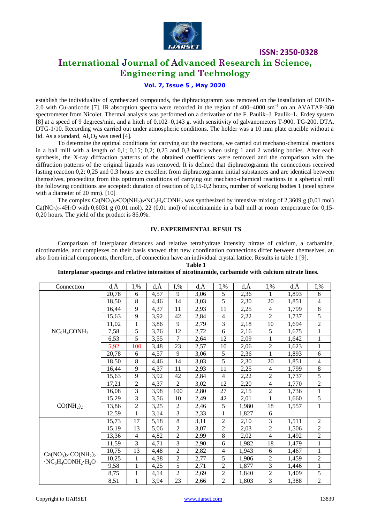

# **International Journal of Advanced Research in Science, Engineering and Technology**

## **Vol. 7, Issue 5 , May 2020**

establish the individuality of synthesized compounds, the diphractogramm was removed on the installation of DRON-2.0 with Cu-anticode [7]. IR absorption spectra were recorded in the region of 400–4000 sm<sup>-1</sup> on an AVATAP-360 spectrometer from Nicolet. Thermal analysis was performed on a derivative of the F. Paulik–J. Paulik–L. Erdey system [8] at a speed of 9 degrees/min, and a hitch of 0,102–0,143 g. with sensitivity of galvanometers T-900, TG-200, DTA, DTG-1/10. Recording was carried out under atmospheric conditions. The holder was a 10 mm plate crucible without a lid. As a standard,  $Al_2O_3$  was used [4].

To determine the optimal conditions for carrying out the reactions, we carried out mechano-chemical reactions in a ball mill with a length of 0,1; 0,15; 0,2; 0,25 and 0,3 hours when using 1 and 2 working bodies. After each synthesis, the X-ray diffraction patterns of the obtained coefficients were removed and the comparison with the diffraction patterns of the original ligands was removed. It is defined that diphractogramm the connections received lasting reaction 0,2; 0,25 and 0.3 hours are excellent from diphractogramm initial substances and are identical between themselves, proceeding from this optimum conditions of carrying out mechano-chemical reactions in a spherical mill the following conditions are accepted: duration of reaction of  $0,15$ -0,2 hours, number of working bodies 1 (steel sphere with a diameter of 20 mm). [10]

The complex  $Ca(NO_3)_2$ •CO(NH<sub>2</sub>)<sub>2</sub>•NC<sub>5</sub>H<sub>4</sub>CONH<sub>2</sub> was synthesized by intensive mixing of 2,3609 g (0,01 mol)  $Ca(NO<sub>3</sub>), 4H<sub>2</sub>O$  with 0,6031 g (0,01 mol), 22 (0,01 mol) of nicotinamide in a ball mill at room temperature for 0,15-0,20 hours. The yield of the product is 86,0%.

#### **IV. EXPERIMENTAL RESULTS**

Comparison of interplanar distances and relative tetrahydrate intensity nitrate of calcium, a carbamide, nicotinamide, and complexes on their basis showed that new coordination connections differ between themselves, an also from initial components, therefore, of connection have an individual crystal lattice. Results in table 1 [9].

**Table 1**

#### **Interplanar spacings and relative intensities of nicotinamide, carbamide with calcium nitrate lines.**

| Connection                                                                                                     | $d, \overline{A}$ | $I,$ %         | $d, \check{A}$ | $I, \%$        | d,Ă  | $I,$ %         | $d, \check{A}$ | $I,$ %                   | $d, \check{A}$ | $I, \%$        |
|----------------------------------------------------------------------------------------------------------------|-------------------|----------------|----------------|----------------|------|----------------|----------------|--------------------------|----------------|----------------|
|                                                                                                                | 20,78             | 6              | 4,57           | 9              | 3,06 | 5              | 2,36           |                          | 1,893          | 6              |
|                                                                                                                | 18,50             | 8              | 4,46           | 14             | 3,03 | 5              | 2,30           | 20                       | 1,851          | 4              |
|                                                                                                                | 16,44             | 9              | 4,37           | 11             | 2,93 | 11             | 2,25           | $\overline{4}$           | 1,799          | 8              |
|                                                                                                                | 15,63             | 9              | 3,92           | 42             | 2,84 | $\overline{4}$ | 2,22           | $\overline{2}$           | 1,737          | 5              |
|                                                                                                                | 11,02             | 1              | 3,86           | 9              | 2,79 | 3              | 2,18           | 10                       | 1,694          | $\overline{c}$ |
| $NC_5H_4CONH_2$                                                                                                | 7,58              | 5              | 3,76           | 12             | 2,72 | 6              | 2,16           | 5                        | 1,675          | 1              |
|                                                                                                                | 6,53              | 5              | 3,55           | 7              | 2,64 | 12             | 2,09           | 1                        | 1,642          | 1              |
|                                                                                                                | 5,92              | 100            | 3,48           | 23             | 2,57 | 10             | 2,06           | 2                        | 1,623          | 1              |
|                                                                                                                | 20,78             | 6              | 4,57           | 9              | 3,06 | 5              | 2,36           | 1                        | 1,893          | 6              |
|                                                                                                                | 18,50             | 8              | 4,46           | 14             | 3,03 | 5              | 2,30           | 20                       | 1,851          | 4              |
|                                                                                                                | 16,44             | 9              | 4,37           | 11             | 2,93 | 11             | 2,25           | $\overline{4}$           | 1,799          | 8              |
|                                                                                                                | 15,63             | 9              | 3,92           | 42             | 2,84 | $\overline{4}$ | 2,22           | $\overline{2}$           | 1,737          | 5              |
|                                                                                                                | 17,21             | $\overline{c}$ | 4,37           | 2              | 3,02 | 12             | 2,20           | $\overline{\mathcal{L}}$ | 1,770          | $\overline{c}$ |
|                                                                                                                | 16,08             | 3              | 3,98           | 100            | 2,80 | 27             | 2,15           | $\overline{2}$           | 1,736          | 1              |
| CO(NH <sub>2</sub> ) <sub>2</sub>                                                                              | 15,29             | 3              | 3,56           | 10             | 2,49 | 42             | 2,01           | 1                        | 1,660          | 5              |
|                                                                                                                | 13,86             | $\overline{c}$ | 3,25           | 2              | 2,46 | 5              | 1,980          | 18                       | 1,557          | $\mathbf 1$    |
|                                                                                                                | 12,59             | $\mathbf{1}$   | 3,14           | 3              | 2,33 | 1              | 1,827          | 6                        |                |                |
|                                                                                                                | 15,73             | 17             | 5,18           | 8              | 3,11 | $\overline{2}$ | 2,10           | 3                        | 1,511          | $\overline{2}$ |
| $Ca(NO3)2 \cdot CO(NH2)2$<br>$\cdot$ NC <sub>5</sub> H <sub>4</sub> CONH <sub>2</sub> $\cdot$ H <sub>2</sub> O | 15,19             | 13             | 5,06           | 2              | 3,07 | $\overline{2}$ | 2,03           | $\overline{2}$           | 1,506          | 2              |
|                                                                                                                | 13,36             | $\overline{4}$ | 4,82           | $\overline{c}$ | 2,99 | 8              | 2,02           | 4                        | 1,492          | $\overline{c}$ |
|                                                                                                                | 11,59             | 3              | 4,71           | 3              | 2,90 | 6              | 1,982          | 18                       | 1,479          | $\mathbf{1}$   |
|                                                                                                                | 10,75             | 13             | 4,48           | $\overline{c}$ | 2,82 | $\overline{4}$ | 1,943          | 6                        | 1,467          | $\mathbf{1}$   |
|                                                                                                                | 10,25             | 1              | 4,38           | $\overline{c}$ | 2,77 | 5              | 1,906          | 2                        | 1,459          | $\overline{2}$ |
|                                                                                                                | 9,58              | 1              | 4,25           | 5              | 2,71 | $\overline{2}$ | 1,877          | 3                        | 1,446          | 1              |
|                                                                                                                | 8,75              | 1              | 4,14           | $\overline{c}$ | 2,69 | $\overline{c}$ | 1,840          | $\overline{c}$           | 1,409          | 5              |
|                                                                                                                | 8,51              | $\mathbf{1}$   | 3,94           | 23             | 2,66 | $\overline{2}$ | 1,803          | 3                        | 1,388          | $\overline{c}$ |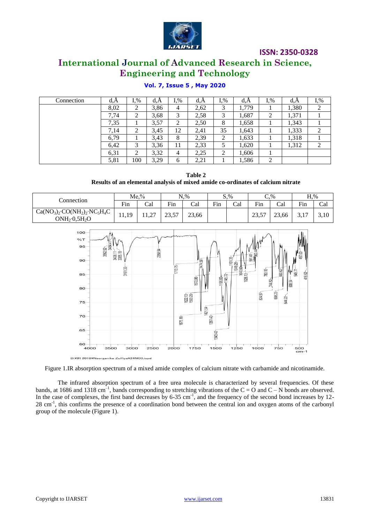

# **International Journal of Advanced Research in Science, Engineering and Technology**

| Connection | d, A | $1, \%$ | d, A | $I_{\cdot\%}$ | d,A  | $I_{\cdot\%}$ | d.A   | $I_{\cdot\%}$ | a,A   | $1, \%$ |
|------------|------|---------|------|---------------|------|---------------|-------|---------------|-------|---------|
|            | 8,02 | ◠<br>∠  | 3,86 | 4             | 2,62 | 3             | 1,779 |               | 1,380 | 2       |
|            | 7,74 | ◠<br>∸  | 3,68 | 3             | 2,58 | 3             | 1,687 | ◠<br>∠        | 1,371 |         |
|            | 7.35 |         | 3,57 | 2             | 2,50 | 8             | 1,658 |               | 1,343 |         |
|            | 7,14 | ◠<br>∠  | 3.45 | 12            | 2,41 | 35            | 1,643 |               | 1,333 | 2       |
|            | 6.79 |         | 3,43 | 8             | 2,39 | ◠<br>∸        | 1,633 |               | 1,318 |         |
|            | 6.42 | 3       | 3,36 | 11            | 2,33 | ◡             | 1,620 |               | 1,312 | 2       |
|            | 6,31 | ◠       | 3,32 | 4             | 2,25 | ◠             | 1,606 |               |       |         |
|            | 5,81 | 100     | 3,29 | 6             | 2,21 |               | 1,586 | ◠<br>∠        |       |         |

## **Vol. 7, Issue 5 , May 2020**

**Table 2 Results of an elemental analysis of mixed amide co-ordinates of calcium nitrate**

| Connection                                                        | $Me2$ %           |                   | $N,$ %          |       | S, % |     | $C, \%$ |       | $H, \%$        |      |
|-------------------------------------------------------------------|-------------------|-------------------|-----------------|-------|------|-----|---------|-------|----------------|------|
|                                                                   | Fin               | Cal               | Fin             | Cal   | Fin  | Cal | Fin     | Cal   | Fin            | Cal  |
| $Ca(NO3)2 \cdot CO(NH2)2 \cdot NC5H4C$<br>$ONH_2 \cdot 0, 5H_2 O$ | 1 Q<br>11<br>11,1 | $\sim$<br>ستمملک، | 73.57<br>ر. د ب | 23,66 |      |     | 23,57   | 23,66 | $\overline{ }$ | 3,10 |



Figure 1.IR absorption spectrum of a mixed amide complex of calcium nitrate with carbamide and nicotinamide.

The infrared absorption spectrum of a free urea molecule is characterized by several frequencies. Of these bands, at 1686 and 1318 cm<sup>-1</sup>, bands corresponding to stretching vibrations of the C = O and C – N bonds are observed. In the case of complexes, the first band decreases by  $6-35$  cm<sup>-1</sup>, and the frequency of the second bond increases by 12-28 cm<sup>-1</sup>, this confirms the presence of a coordination bond between the central ion and oxygen atoms of the carbonyl group of the molecule (Figure 1).